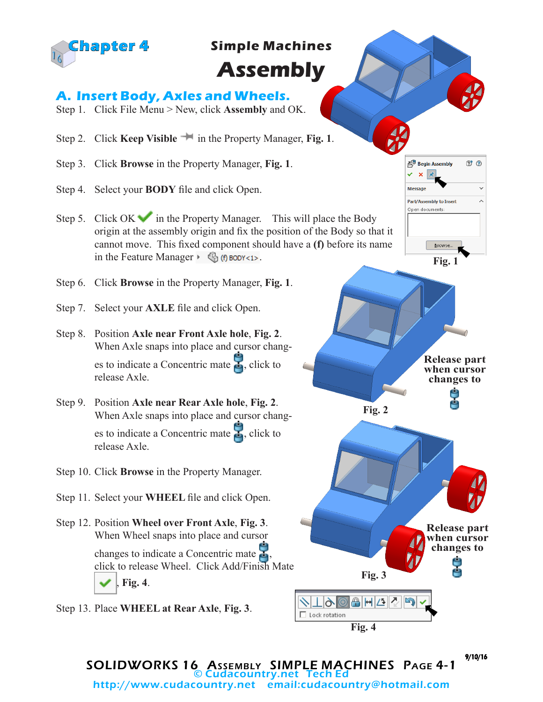

## **Simple Machines**

# **Assembly**

## **A. Insert Body, Axles and Wheels.**

- Step 1. Click File Menu > New, click **Assembly** and OK.
- Step 2. Click **Keep Visible in** the Property Manager, **Fig. 1**.
- Step 3. Click **Browse** in the Property Manager, **Fig. 1**.
- Step 4. Select your **BODY** file and click Open.
- Step 5. Click OK in the Property Manager. This will place the Body origin at the assembly origin and fix the position of the Body so that it cannot move. This fixed component should have a **(f)** before its name in the Feature Manager  $\cdot \mathcal{G}_1(f)$  BODY<1>.
- Step 6. Click **Browse** in the Property Manager, **Fig. 1**.
- Step 7. Select your **AXLE** file and click Open.
- Step 8. Position **Axle near Front Axle hole**, **Fig. 2**. When Axle snaps into place and cursor changes to indicate a Concentric mate  $\mathcal{L}$ , click to release Axle.
- Step 9. Position **Axle near Rear Axle hole**, **Fig. 2**. When Axle snaps into place and cursor changes to indicate a Concentric mate  $\mathbf{F}$ , click to release Axle.
- Step 10. Click **Browse** in the Property Manager.
- Step 11. Select your **WHEEL** file and click Open.
- Step 12. Position **Wheel over Front Axle**, **Fig. 3**. When Wheel snaps into place and cursor changes to indicate a Concentric mate , click to release Wheel. Click Add/Finish Mate , **Fig. 4**.
- Step 13. Place **WHEEL at Rear Axle**, **Fig. 3**.









SOLIDWORKS 16 Assembly SIMPLE MACHINES Page 4-1 © Cudacountry.net Tech Ed http://www.cudacountry.net email:cudacountry@hotmail.com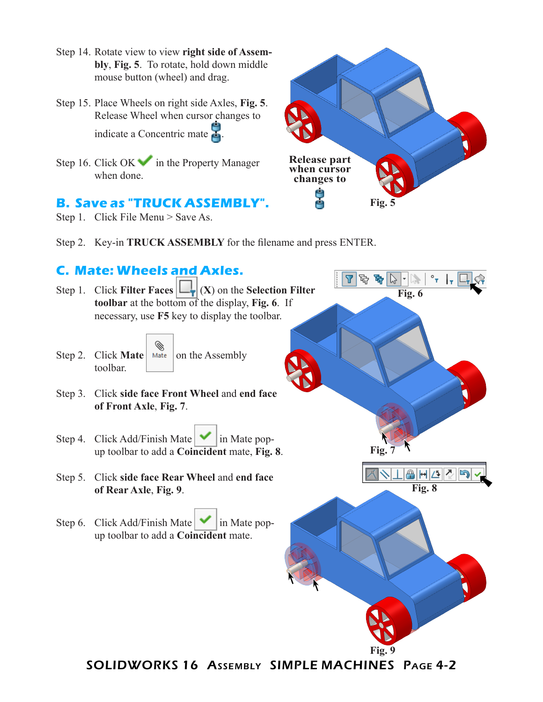- Step 14. Rotate view to view **right side of Assembly**, **Fig. 5**. To rotate, hold down middle mouse button (wheel) and drag.
- Step 15. Place Wheels on right side Axles, **Fig. 5**. Release Wheel when cursor changes to indicate a Concentric mate .
- Step 16. Click  $\overrightarrow{OK}$  in the Property Manager when done.

#### **B. Save as "TRUCK ASSEMBLY".**

Step 1. Click File Menu > Save As.



Step 2. Key-in **TRUCK ASSEMBLY** for the filename and press ENTER.

#### **C. Mate: Wheels and Axles.**



SOLIDWORKS 16 Assembly SIMPLE MACHINES Page 4-2